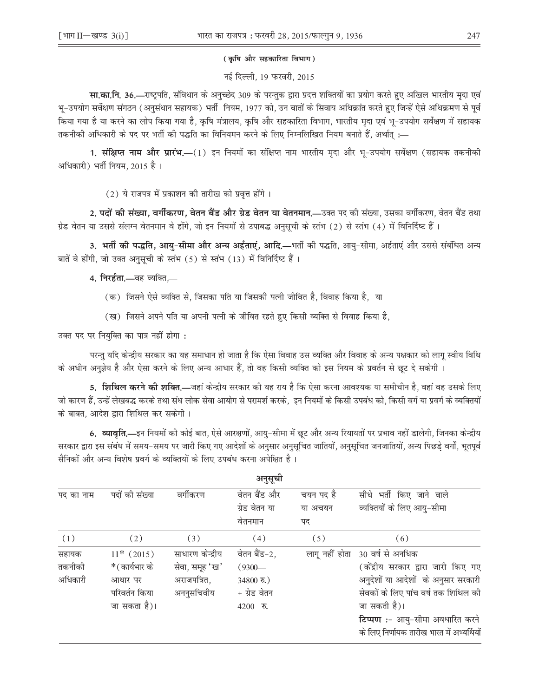## (कृषि और सहकारिता विभाग)

नई दिल्ली, 19 फरवरी, 2015

**सा.का.नि. 36.—**राष्ट्रपति, संविधान के अनुच्छेद 309 के परन्तुक द्वारा प्रदत्त शक्तियों का प्रयोग करते हुए अखिल भारतीय मृदा एवं भू–उपयोग सर्वेक्षण संगठन (अनुसंधान सहायक) भर्ती नियम, 1977 को, उन बातों के सिवाय अधिक्रांत करते हुए जिन्हें ऐसे अधिक्रमण से पूर्व किया गया है या करने का लोप किया गया है, कृषि मंत्रालय, कृषि और सहकारिता विभाग, भारतीय मृदा एवं भू–उपयोग सर्वेक्षण में सहायक —: तकनीकी अधिकारी के पद पर भर्ती की पद्धति का विनियमन करने के लिए निम्नलिखित नियम बनाते हैं, अर्थात्

1. संक्षिप्त नाम और प्रारंभ.—(1) इन नियमों का संक्षिप्त नाम भारतीय मदा और भू-उपयोग सर्वेक्षण (सहायक तकनीकी अधिकारी) भर्ती नियम, 2015 है।

(2) ये राजपत्र में प्रकाशन की तारीख को प्रवृत्त होंगे।

2. पदों की संख्या, वर्गीकरण, वेतन बैंड और ग्रेड वेतन या वेतनमान.—उक्त पद की संख्या, उसका वर्गीकरण, वेतन बैंड तथा ग्रेड वेतन या उससे संलग्न वेतनमान वे होंगे, जो इन नियमों से उपाबद्ध अनुसूची के स्तंभ (2) से स्तंभ (4) में विनिर्दिष्ट हैं ।

3. भर्ती की पद्धति, आय-सीमा और अन्य अर्हताएं, आदि,—भर्ती की पद्धति, आयु-सीमा, अर्हताएं और उससे संबंधित अन्य बातें वे होंगी, जो उक्त अनुसूची के स्तंभ (5) से स्तंभ (13) में विनिर्दिष्ट हैं।

4. निरर्हता.-बह व्यक्ति,-

- (क) जिसने ऐसे व्यक्ति से, जिसका पति या जिसकी पत्नी जीवित है, विवाह किया है, या
- (ख) जिसने अपने पति या अपनी पत्नी के जीवित रहते हुए किसी व्यक्ति से विवाह किया है,

उक्त पद पर नियुक्ति का पात्र नहीं होगा:

परन्तु यदि केन्द्रीय सरकार का यह समाधान हो जाता है कि ऐसा विवाह उस व्यक्ति और विवाह के अन्य पक्षकार को लागू स्वीय विधि के अधीन अनुज्ञेय है और ऐसा करने के लिए अन्य आधार हैं, तो वह किसी व्यक्ति को इस नियम के प्रवर्तन से छूट दे सकेगी ।

5. **शिथिल करने की शक्ति.—**जहां केन्द्रीय सरकार की यह राय है कि ऐसा करना आवश्यक या समीचीन है, वहां वह उसके लिए जो कारण हैं, उन्हें लेखबद्ध करके तथा संध लोक सेवा आयोग से परामर्श करके, इन नियमों के किसी उपबंध को, किसी वर्ग या प्रवर्ग के व्यक्तियों के बाबत, आदेश द्वारा शिथिल कर सकेगी ।

6. व्यावृति,—इन नियमों की कोई बात, ऐसे आरक्षणों, आयु–सीमा में छूट और अन्य रियायतों पर प्रभाव नहीं डालेगी, जिनका केन्द्रीय सरकार द्वारा इस संबंध में समय–समय पर जारी किए गए आदेशों के अनुसार अनुसूचित जातियों, अनुसूचित जनजातियों, अन्य पिछडे वर्गों, भूतपूर्व सैनिकों और अन्य विशेष प्रवर्ग के व्यक्तियों के लिए उपबंध करना अपेक्षित है।

|                            |                                                                           |                                                                 | अनुसूची                                                                 |                            |                                                                                                                                                                                                                                       |
|----------------------------|---------------------------------------------------------------------------|-----------------------------------------------------------------|-------------------------------------------------------------------------|----------------------------|---------------------------------------------------------------------------------------------------------------------------------------------------------------------------------------------------------------------------------------|
| पद का नाम                  | पदों की संख्या                                                            | वर्गीकरण                                                        | वेतन बैंड और<br>ग्रेड वेतन या<br>वेतनमान                                | चयन पद है<br>या अचयन<br>पद | सीधे भर्ती किए जाने वाले<br>व्यक्तियों के लिए आयु-सीमा                                                                                                                                                                                |
| (1)                        | (2)                                                                       | (3)                                                             | (4)                                                                     | (5)                        | (6)                                                                                                                                                                                                                                   |
| सहायक<br>तकनीकी<br>अधिकारी | $11*$ (2015)<br>*(कार्यभार के<br>आधार पर<br>परिवर्तन किया<br>जा सकता है)। | साधारण केन्द्रीय<br>सेवा, समूह 'ख'<br>अराजपत्रित,<br>अननुसचिवीय | वेतन बैंड-2,<br>$(9300 -$<br>$34800$ रु.)<br>+ ग्रेड वेतन<br>$4200$ रु. | लागू नहीं होता             | 30 वर्ष से अनधिक<br>(केंद्रीय सरकार द्वारा जारी किए गए<br>अनुदेशों या आदेशों के अनुसार सरकारी<br>सेवकों के लिए पांच वर्ष तक शिथिल की<br>जा सकती है)।<br>टिप्पण :- आयु-सीमा अवधारित करने<br>के लिए निर्णायक तारीख भारत में अभ्यर्थियों |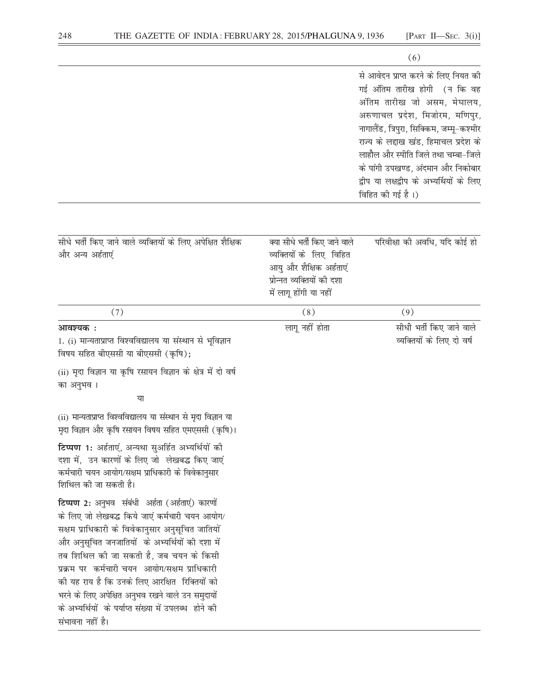|                                                                                                                                                                                                                                                                                                                                                                                                                                                                                       |                                                                                                                                             | (6)                                                                                                                                                                                                                                                                                                                                                                       |
|---------------------------------------------------------------------------------------------------------------------------------------------------------------------------------------------------------------------------------------------------------------------------------------------------------------------------------------------------------------------------------------------------------------------------------------------------------------------------------------|---------------------------------------------------------------------------------------------------------------------------------------------|---------------------------------------------------------------------------------------------------------------------------------------------------------------------------------------------------------------------------------------------------------------------------------------------------------------------------------------------------------------------------|
|                                                                                                                                                                                                                                                                                                                                                                                                                                                                                       |                                                                                                                                             | से आवेदन प्राप्त करने के लिए नियत की<br>गई अंतिम तारीख होगी (न कि वह<br>अंतिम तारीख जो असम, मेघालय,<br>अरुणाचल प्रदेश, मिजोरम, मणिपुर,<br>नागालैंड, त्रिपुरा, सिक्किम, जम्मू-कश्मीर<br>राज्य के लद्दाख खंड, हिमाचल प्रदेश के<br>लाहौल और स्पीति जिले तथा चम्बा-जिले<br>के पांगी उपखण्ड, अंदमान और निकोबार<br>द्वीप या लक्षद्वीप के अभ्यर्थियों के लिए<br>विहित की गई है।) |
| सीधे भर्ती किए जाने वाले व्यक्तियों के लिए अपेक्षित शैक्षिक<br>और अन्य अर्हताएं                                                                                                                                                                                                                                                                                                                                                                                                       | क्या सीधे भर्ती किए जाने वाले<br>व्यक्तियों के लिए विहित<br>आयु और शैक्षिक अर्हताएं<br>प्रोन्नत व्यक्तियों की दशा<br>में लागू होंगी या नहीं | परिवीक्षा की अवधि, यदि कोई हो                                                                                                                                                                                                                                                                                                                                             |
| (7)                                                                                                                                                                                                                                                                                                                                                                                                                                                                                   | (8)                                                                                                                                         | (9)                                                                                                                                                                                                                                                                                                                                                                       |
| आवश्यक :<br>1. (i) मान्यताप्राप्त विश्वविद्यालय या संस्थान से भूविज्ञान<br>विषय सहित बीएससी या बीएससी (कृषि);                                                                                                                                                                                                                                                                                                                                                                         | लागू नहीं होता                                                                                                                              | सीधी भर्ती किए जाने वाले<br>व्यक्तियों के लिए दो वर्ष                                                                                                                                                                                                                                                                                                                     |
| (ii) मृदा विज्ञान या कृषि रसायन विज्ञान के क्षेत्र में दो वर्ष<br>का अनुभव ।                                                                                                                                                                                                                                                                                                                                                                                                          |                                                                                                                                             |                                                                                                                                                                                                                                                                                                                                                                           |
| या                                                                                                                                                                                                                                                                                                                                                                                                                                                                                    |                                                                                                                                             |                                                                                                                                                                                                                                                                                                                                                                           |
| (ii) मान्यताप्राप्त विश्वविद्यालय या संस्थान से मृदा विज्ञान या<br>मृदा विज्ञान और कृषि रसायन विषय सहित एमएससी (कृषि)।                                                                                                                                                                                                                                                                                                                                                                |                                                                                                                                             |                                                                                                                                                                                                                                                                                                                                                                           |
| टिप्पण 1: अर्हताएं, अन्यथा सुअर्हित अभ्यर्थियों की<br>दशा में,  उन कारणों के लिए जो  लेखबद्ध किए जाएं<br>कर्मचारी चयन आयोग/सक्षम प्राधिकारी के विवेकानुसार<br>शिथिल की जा सकती है।                                                                                                                                                                                                                                                                                                    |                                                                                                                                             |                                                                                                                                                                                                                                                                                                                                                                           |
| टिप्पण 2: अनुभव संबंधी अर्हता (अर्हताएं) कारणों<br>के लिए जो लेखबद्ध किये जाएं कर्मचारी चयन आयोग/<br>सक्षम प्राधिकारी के विवेकानुसार अनुसूचित जातियों<br>और अनुसूचित जनजातियों के अभ्यर्थियों की दशा में<br>तब शिथिल की जा सकती है, जब चयन के किसी<br>प्रक्रम पर कर्मचारी चयन आयोग/सक्षम प्राधिकारी<br>की यह राय है कि उनके लिए आरक्षित  रिक्तियों को<br>भरने के लिए अपेक्षित अनुभव रखने वाले उन समुदायों<br>के अभ्यर्थियों के पर्याप्त संख्या में उपलब्ध होने की<br>संभावना नहीं है। |                                                                                                                                             |                                                                                                                                                                                                                                                                                                                                                                           |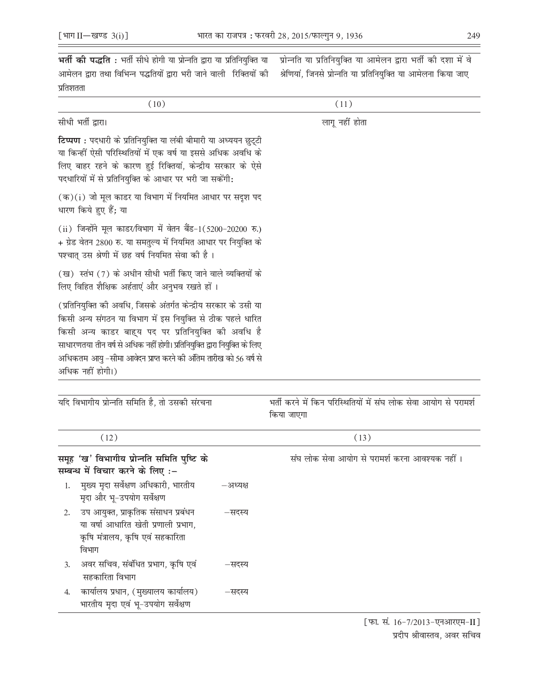| भर्ती की पद्धति : भर्ती सीधे होगी या प्रोन्नति द्वारा या प्रतिनियुक्ति या                                                                                                                                                                                                                                                                                  | प्रोन्नति या प्रतिनियुक्ति या आमेलन द्वारा भर्ती की दशा में वे                 |
|------------------------------------------------------------------------------------------------------------------------------------------------------------------------------------------------------------------------------------------------------------------------------------------------------------------------------------------------------------|--------------------------------------------------------------------------------|
| आमेलन द्वारा तथा विभिन्न पद्धतियों द्वारा भरी जाने वाली  रिक्तियों की                                                                                                                                                                                                                                                                                      | श्रेणियां, जिनसे प्रोन्नति या प्रतिनियुक्ति या आमेलना किया जाए                 |
| प्रतिशतता                                                                                                                                                                                                                                                                                                                                                  |                                                                                |
| (10)                                                                                                                                                                                                                                                                                                                                                       | (11)                                                                           |
| सीधी भर्ती द्वारा।                                                                                                                                                                                                                                                                                                                                         | लागू नहीं होता                                                                 |
| टिप्पण : पदधारी के प्रतिनियुक्ति या लंबी बीमारी या अध्ययन छुट्टी<br>या किन्हीं ऐसी परिस्थितियों में एक वर्ष या इससे अधिक अवधि के<br>लिए बाहर रहने के कारण हुई रिक्तियां, केन्द्रीय सरकार के ऐसे<br>पदधारियों में से प्रतिनियुक्ति के आधार पर भरी जा सकेंगी:                                                                                                |                                                                                |
| $(\overline{\sigma})(i)$ जो मूल काडर या विभाग में नियमित आधार पर सदूश पद<br>धारण किये हुए हैं; या                                                                                                                                                                                                                                                          |                                                                                |
| (ii) जिन्होंने मूल काडर/विभाग में वेतन बैंड-1(5200-20200 रु.)<br>+ ग्रेड वेतन 2800 रु. या समतुल्य में नियमित आधार पर नियुक्ति के<br>पश्चात् उस श्रेणी में छह वर्ष नियमित सेवा की है।                                                                                                                                                                       |                                                                                |
| (ख) स्तंभ (7) के अधीन सीधी भर्ती किए जाने वाले व्यक्तियों के<br>लिए विहित शैक्षिक अर्हताएं और अनुभव रखते हों।                                                                                                                                                                                                                                              |                                                                                |
| (प्रतिनियुक्ति की अवधि, जिसके अंतर्गत केन्द्रीय सरकार के उसी या<br>किसी अन्य संगठन या विभाग में इस नियुक्ति से ठीक पहले धारित<br>किसी अन्य काडर बाह्य पद पर प्रतिनियुक्ति की अवधि है<br>साधारणतया तीन वर्ष से अधिक नहीं होगी। प्रतिनियुक्ति द्वारा नियुक्ति के लिए<br>अधिकतम आयु –सीमा आवेदन प्राप्त करने की अंतिम तारीख को 56 वर्ष से<br>अधिक नहीं होगी।) |                                                                                |
| यदि विभागीय प्रोन्नति समिति है, तो उसकी संरचना                                                                                                                                                                                                                                                                                                             | भर्ती करने में किन परिस्थितियों में संघ लोक सेवा आयोग से परामर्श<br>किया जाएगा |

|                  | (12)                                                                                                                     |          | (13)                                           |
|------------------|--------------------------------------------------------------------------------------------------------------------------|----------|------------------------------------------------|
|                  | समूह 'ख' विभागीय प्रोन्नति समिति पुष्टि के<br>सम्बन्ध में विचार करने के लिए :-                                           |          | संघ लोक सेवा आयोग से परामर्श करना आवश्यक नहीं। |
|                  | 1. मुख्य मृदा सर्वेक्षण अधिकारी, भारतीय<br>मृदा और भू-उपयोग सर्वेक्षण                                                    | –अध्यक्ष |                                                |
| 2.               | उप आयुक्त, प्राकृतिक संसाधन प्रबंधन<br>या वर्षा आधारित खेती प्रणाली प्रभाग,<br>कृषि मंत्रालय, कृषि एवं सहकारिता<br>विभाग | –सदस्य   |                                                |
| $\mathfrak{Z}$ . | अवर सचिव, संबंधित प्रभाग, कृषि एवं<br>सहकारिता विभाग                                                                     | –सदस्य   |                                                |
| 4.               | कार्यालय प्रधान, (मुख्यालय कार्यालय)<br>भारतीय मृदा एवं भू-उपयोग सर्वेक्षण                                               | –सदस्य   |                                                |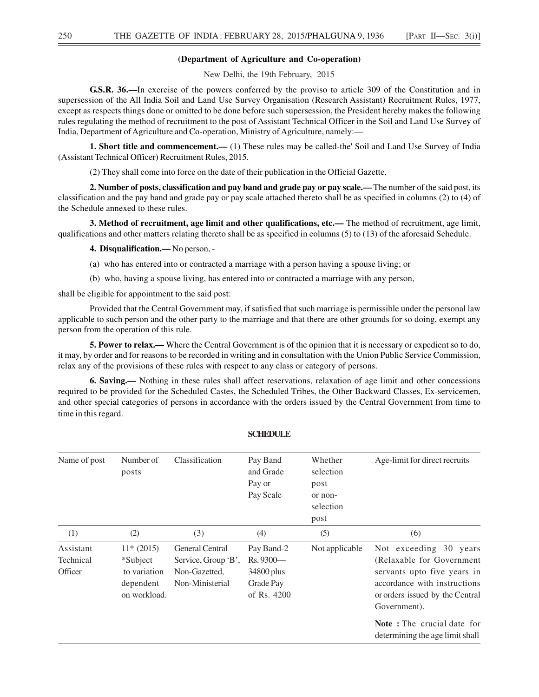### **(Department of Agriculture and Co-operation)**

New Delhi, the 19th February, 2015

**G.S.R. 36.—**In exercise of the powers conferred by the proviso to article 309 of the Constitution and in supersession of the All India Soil and Land Use Survey Organisation (Research Assistant) Recruitment Rules, 1977, except as respects things done or omitted to be done before such supersession, the President hereby makes the following rules regulating the method of recruitment to the post of Assistant Technical Officer in the Soil and Land Use Survey of India, Department of Agriculture and Co-operation, Ministry of Agriculture, namely:—

**1. Short title and commencement.—** (1) These rules may be called-the' Soil and Land Use Survey of India (Assistant Technical Officer) Recruitment Rules, 2015.

(2) They shall come into force on the date of their publication in the Official Gazette.

**2. Number of posts, classification and pay band and grade pay or pay scale.—** The number of the said post, its classification and the pay band and grade pay or pay scale attached thereto shall be as specified in columns (2) to (4) of the Schedule annexed to these rules.

**3. Method of recruitment, age limit and other qualifications, etc.—** The method of recruitment, age limit, qualifications and other matters relating thereto shall be as specified in columns (5) to (13) of the aforesaid Schedule.

**4. Disqualification.—** No person, -

- (a) who has entered into or contracted a marriage with a person having a spouse living; or
- (b) who, having a spouse living, has entered into or contracted a marriage with any person,

shall be eligible for appointment to the said post:

Provided that the Central Government may, if satisfied that such marriage is permissible under the personal law applicable to such person and the other party to the marriage and that there are other grounds for so doing, exempt any person from the operation of this rule.

**5. Power to relax.—** Where the Central Government is of the opinion that it is necessary or expedient so to do, it may, by order and for reasons to be recorded in writing and in consultation with the Union Public Service Commission, relax any of the provisions of these rules with respect to any class or category of persons.

**6. Saving.—** Nothing in these rules shall affect reservations, relaxation of age limit and other concessions required to be provided for the Scheduled Castes, the Scheduled Tribes, the Other Backward Classes, Ex-servicemen, and other special categories of persons in accordance with the orders issued by the Central Government from time to time in this regard.

| Name of post                      | Number of<br>posts                                                   | Classification                                                                    | Pay Band<br>and Grade<br>Pay or<br>Pay Scale                      | Whether<br>selection<br>post<br>or non-<br>selection<br>post | Age-limit for direct recruits                                                                                                                                         |
|-----------------------------------|----------------------------------------------------------------------|-----------------------------------------------------------------------------------|-------------------------------------------------------------------|--------------------------------------------------------------|-----------------------------------------------------------------------------------------------------------------------------------------------------------------------|
| (1)                               | (2)                                                                  | (3)                                                                               | (4)                                                               | (5)                                                          | (6)                                                                                                                                                                   |
| Assistant<br>Technical<br>Officer | $11*(2015)$<br>*Subject<br>to variation<br>dependent<br>on workload. | <b>General Central</b><br>Service, Group 'B',<br>Non-Gazetted,<br>Non-Ministerial | Pay Band-2<br>Rs. 9300-<br>34800 plus<br>Grade Pay<br>of Rs. 4200 | Not applicable                                               | Not exceeding 30 years<br>(Relaxable for Government<br>servants upto five years in<br>accordance with instructions<br>or orders issued by the Central<br>Government). |
|                                   |                                                                      |                                                                                   |                                                                   |                                                              | <b>Note</b> : The crucial date for<br>determining the age limit shall                                                                                                 |

#### **SCHEDULE**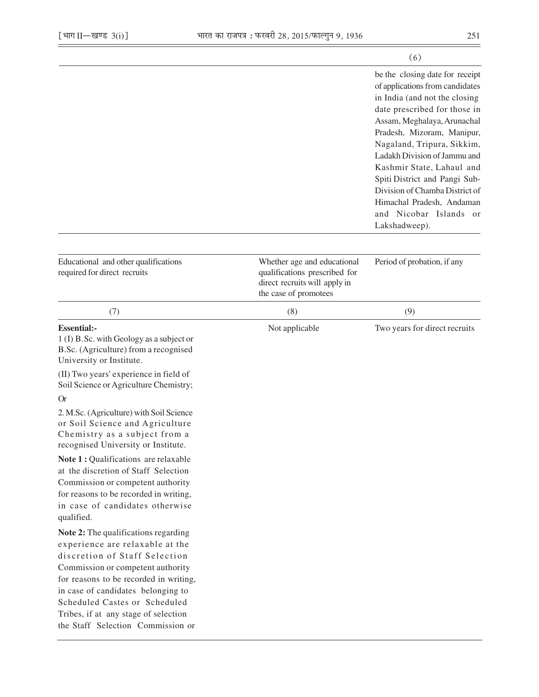|                                                                                                                        | (6)                                                                                                                                                                                                                                                                                                                                                                                                                                    |
|------------------------------------------------------------------------------------------------------------------------|----------------------------------------------------------------------------------------------------------------------------------------------------------------------------------------------------------------------------------------------------------------------------------------------------------------------------------------------------------------------------------------------------------------------------------------|
|                                                                                                                        | be the closing date for receipt<br>of applications from candidates<br>in India (and not the closing<br>date prescribed for those in<br>Assam, Meghalaya, Arunachal<br>Pradesh, Mizoram, Manipur,<br>Nagaland, Tripura, Sikkim,<br>Ladakh Division of Jammu and<br>Kashmir State, Lahaul and<br>Spiti District and Pangi Sub-<br>Division of Chamba District of<br>Himachal Pradesh, Andaman<br>and Nicobar Islands or<br>Lakshadweep). |
| Whether age and educational<br>qualifications prescribed for<br>direct recruits will apply in<br>the case of promotees | Period of probation, if any                                                                                                                                                                                                                                                                                                                                                                                                            |
| (8)                                                                                                                    | (9)                                                                                                                                                                                                                                                                                                                                                                                                                                    |
| Not applicable                                                                                                         | Two years for direct recruits                                                                                                                                                                                                                                                                                                                                                                                                          |
|                                                                                                                        |                                                                                                                                                                                                                                                                                                                                                                                                                                        |
|                                                                                                                        |                                                                                                                                                                                                                                                                                                                                                                                                                                        |
|                                                                                                                        |                                                                                                                                                                                                                                                                                                                                                                                                                                        |
|                                                                                                                        |                                                                                                                                                                                                                                                                                                                                                                                                                                        |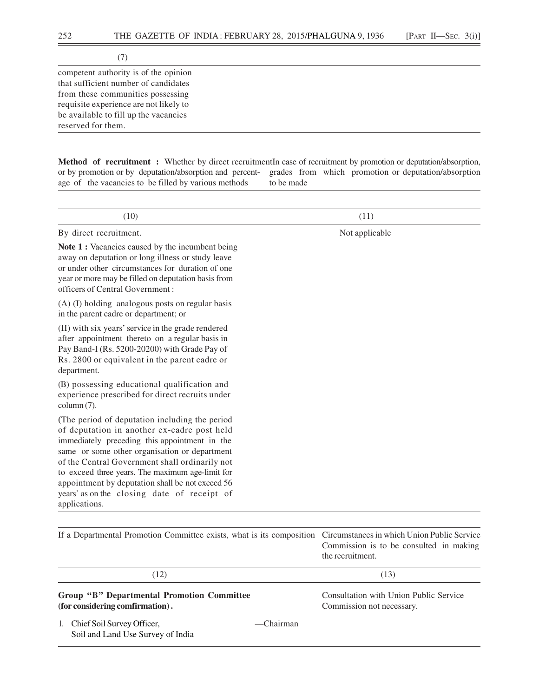(7)

competent authority is of the opinion that sufficient number of candidates from these communities possessing requisite experience are not likely to be available to fill up the vacancies reserved for them.

**Method of recruitment :** Whether by direct recruitmentIn case of recruitment by promotion or deputation/absorption, or by promotion or by deputation/absorption and percent- grades from which promotion or deputation/absorption age of the vacancies to be filled by various methods to be made

| (10)                                                                                                                                                                                                                                                                                                                                                                                                     | (11)                                                                                                       |
|----------------------------------------------------------------------------------------------------------------------------------------------------------------------------------------------------------------------------------------------------------------------------------------------------------------------------------------------------------------------------------------------------------|------------------------------------------------------------------------------------------------------------|
| By direct recruitment.                                                                                                                                                                                                                                                                                                                                                                                   | Not applicable                                                                                             |
| Note 1 : Vacancies caused by the incumbent being<br>away on deputation or long illness or study leave<br>or under other circumstances for duration of one<br>year or more may be filled on deputation basis from<br>officers of Central Government:                                                                                                                                                      |                                                                                                            |
| (A) (I) holding analogous posts on regular basis<br>in the parent cadre or department; or                                                                                                                                                                                                                                                                                                                |                                                                                                            |
| (II) with six years' service in the grade rendered<br>after appointment thereto on a regular basis in<br>Pay Band-I (Rs. 5200-20200) with Grade Pay of<br>Rs. 2800 or equivalent in the parent cadre or<br>department.                                                                                                                                                                                   |                                                                                                            |
| (B) possessing educational qualification and<br>experience prescribed for direct recruits under<br>column (7).                                                                                                                                                                                                                                                                                           |                                                                                                            |
| (The period of deputation including the period<br>of deputation in another ex-cadre post held<br>immediately preceding this appointment in the<br>same or some other organisation or department<br>of the Central Government shall ordinarily not<br>to exceed three years. The maximum age-limit for<br>appointment by deputation shall be not exceed 56<br>years' as on the closing date of receipt of |                                                                                                            |
| applications.                                                                                                                                                                                                                                                                                                                                                                                            |                                                                                                            |
| If a Departmental Promotion Committee exists, what is its composition                                                                                                                                                                                                                                                                                                                                    | Circumstances in which Union Public Service<br>Commission is to be consulted in making<br>the recruitment. |
| (12)                                                                                                                                                                                                                                                                                                                                                                                                     | (13)                                                                                                       |
| <b>Group "B" Departmental Promotion Committee</b>                                                                                                                                                                                                                                                                                                                                                        | Consultation with Union Public Service                                                                     |

# **(for considering comfirmation) .** Commission not necessary.

1. Chief Soil Survey Officer,  $-$ Chairman Soil and Land Use Survey of India